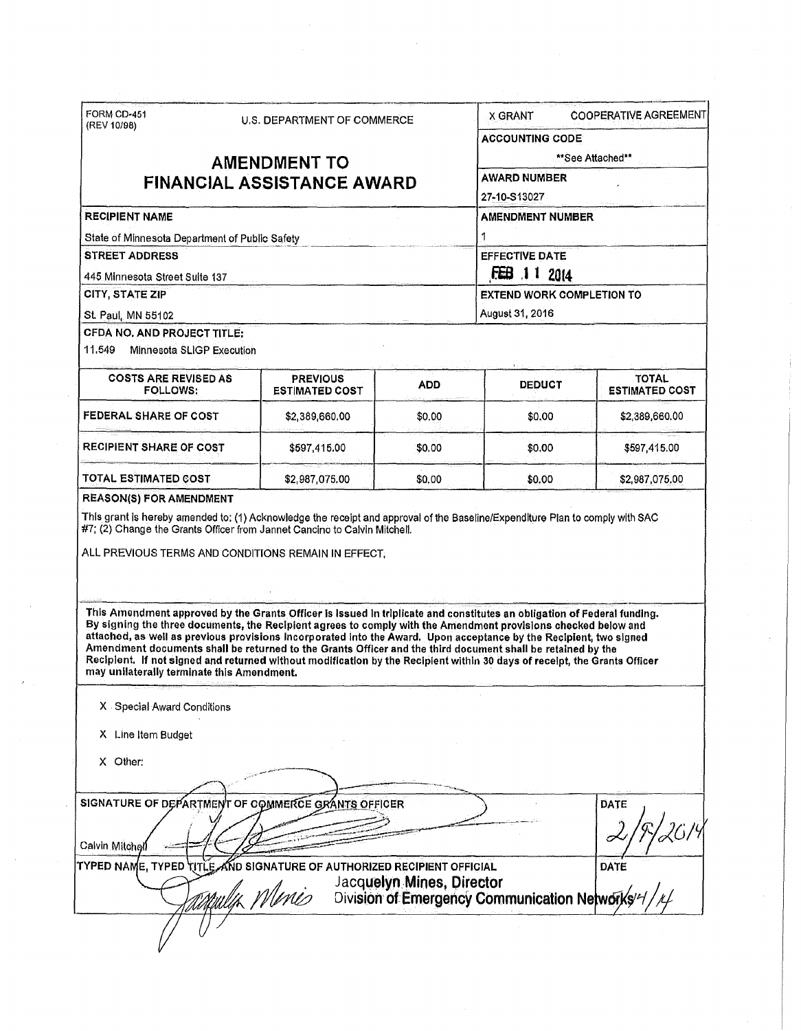| (REV 10/98)                                                                                                                                                                                                                                                                                              | <b>U.S. DEPARTMENT OF COMMERCE</b> |                                                                                                                                                                                                                                                                                                                                                                     | <b>COOPERATIVE AGREEMENT</b><br>X GRANT<br><b>ACCOUNTING CODE</b><br>**See Attached**<br><b>AWARD NUMBER</b> |                                                |                                       |
|----------------------------------------------------------------------------------------------------------------------------------------------------------------------------------------------------------------------------------------------------------------------------------------------------------|------------------------------------|---------------------------------------------------------------------------------------------------------------------------------------------------------------------------------------------------------------------------------------------------------------------------------------------------------------------------------------------------------------------|--------------------------------------------------------------------------------------------------------------|------------------------------------------------|---------------------------------------|
|                                                                                                                                                                                                                                                                                                          |                                    |                                                                                                                                                                                                                                                                                                                                                                     |                                                                                                              |                                                |                                       |
|                                                                                                                                                                                                                                                                                                          | <b>AMENDMENT TO</b>                |                                                                                                                                                                                                                                                                                                                                                                     |                                                                                                              |                                                |                                       |
| <b>FINANCIAL ASSISTANCE AWARD</b>                                                                                                                                                                                                                                                                        |                                    |                                                                                                                                                                                                                                                                                                                                                                     |                                                                                                              |                                                |                                       |
|                                                                                                                                                                                                                                                                                                          |                                    | 27-10-S13027                                                                                                                                                                                                                                                                                                                                                        |                                                                                                              |                                                |                                       |
| <b>RECIPIENT NAME</b>                                                                                                                                                                                                                                                                                    |                                    | <b>AMENDMENT NUMBER</b>                                                                                                                                                                                                                                                                                                                                             |                                                                                                              |                                                |                                       |
| State of Minnesota Department of Public Safety                                                                                                                                                                                                                                                           |                                    | 1                                                                                                                                                                                                                                                                                                                                                                   |                                                                                                              |                                                |                                       |
| <b>STREET ADDRESS</b>                                                                                                                                                                                                                                                                                    |                                    | <b>EFFECTIVE DATE</b>                                                                                                                                                                                                                                                                                                                                               |                                                                                                              |                                                |                                       |
| 445 Minnesota Street Suite 137                                                                                                                                                                                                                                                                           |                                    | FEB 11 2014                                                                                                                                                                                                                                                                                                                                                         |                                                                                                              |                                                |                                       |
| <b>CITY, STATE ZIP</b>                                                                                                                                                                                                                                                                                   |                                    |                                                                                                                                                                                                                                                                                                                                                                     |                                                                                                              | <b>EXTEND WORK COMPLETION TO</b>               |                                       |
| St. Paul, MN 55102                                                                                                                                                                                                                                                                                       |                                    |                                                                                                                                                                                                                                                                                                                                                                     |                                                                                                              | August 31, 2016                                |                                       |
| CFDA NO. AND PROJECT TITLE:                                                                                                                                                                                                                                                                              |                                    |                                                                                                                                                                                                                                                                                                                                                                     |                                                                                                              |                                                |                                       |
| 11.549<br><b>Minnesota SLIGP Execution</b>                                                                                                                                                                                                                                                               |                                    |                                                                                                                                                                                                                                                                                                                                                                     |                                                                                                              |                                                |                                       |
| <b>COSTS ARE REVISED AS</b><br><b>FOLLOWS:</b>                                                                                                                                                                                                                                                           |                                    | <b>PREVIOUS</b><br><b>ESTIMATED COST</b>                                                                                                                                                                                                                                                                                                                            | ADD                                                                                                          | <b>DEDUCT</b>                                  | <b>TOTAL</b><br><b>ESTIMATED COST</b> |
| FEDERAL SHARE OF COST                                                                                                                                                                                                                                                                                    |                                    | \$2,389,660.00                                                                                                                                                                                                                                                                                                                                                      | \$0.00                                                                                                       | \$0.00                                         | \$2,389,660.00                        |
| <b>RECIPIENT SHARE OF COST</b>                                                                                                                                                                                                                                                                           |                                    | \$597.415.00                                                                                                                                                                                                                                                                                                                                                        | \$0.00                                                                                                       | \$0.00                                         | \$597,415.00                          |
| TOTAL ESTIMATED COST                                                                                                                                                                                                                                                                                     |                                    | \$2,987,075.00                                                                                                                                                                                                                                                                                                                                                      | \$0.00                                                                                                       | \$0.00                                         | \$2,987,075.00                        |
|                                                                                                                                                                                                                                                                                                          |                                    |                                                                                                                                                                                                                                                                                                                                                                     |                                                                                                              |                                                |                                       |
|                                                                                                                                                                                                                                                                                                          |                                    |                                                                                                                                                                                                                                                                                                                                                                     |                                                                                                              |                                                |                                       |
|                                                                                                                                                                                                                                                                                                          |                                    | This Amendment approved by the Grants Officer is issued in triplicate and constitutes an obligation of Federal funding.<br>Amendment documents shall be returned to the Grants Officer and the third document shall be retained by the<br>Recipient. If not signed and returned without modification by the Recipient within 30 days of receipt, the Grants Officer |                                                                                                              |                                                |                                       |
| X Special Award Conditions                                                                                                                                                                                                                                                                               |                                    |                                                                                                                                                                                                                                                                                                                                                                     |                                                                                                              |                                                |                                       |
| By signing the three documents, the Recipient agrees to comply with the Amendment provisions checked below and<br>attached, as well as previous provisions incorporated into the Award. Upon acceptance by the Recipient, two signed<br>may unilaterally terminate this Amendment.<br>X Line Item Budget |                                    |                                                                                                                                                                                                                                                                                                                                                                     |                                                                                                              |                                                |                                       |
| X Other:                                                                                                                                                                                                                                                                                                 |                                    |                                                                                                                                                                                                                                                                                                                                                                     |                                                                                                              |                                                |                                       |
|                                                                                                                                                                                                                                                                                                          |                                    |                                                                                                                                                                                                                                                                                                                                                                     |                                                                                                              |                                                |                                       |
|                                                                                                                                                                                                                                                                                                          |                                    |                                                                                                                                                                                                                                                                                                                                                                     |                                                                                                              |                                                | <b>DATE</b>                           |
|                                                                                                                                                                                                                                                                                                          |                                    |                                                                                                                                                                                                                                                                                                                                                                     |                                                                                                              |                                                |                                       |
|                                                                                                                                                                                                                                                                                                          |                                    | AND SIGNATURE OF AUTHORIZED RECIPIENT OFFICIAL                                                                                                                                                                                                                                                                                                                      | Jacquelyn Mines, Director                                                                                    |                                                | DATE                                  |
| SIGNATURE OF DEPARTMENT OF COMMERCE GRANTS OFFICER<br>Calvin Mitchell<br>TYPED NAME, TYPED TITLE.                                                                                                                                                                                                        |                                    | <u>illa Meris</u>                                                                                                                                                                                                                                                                                                                                                   |                                                                                                              | Division of Emergency Communication Networks/4 |                                       |

 $\hat{J}$ 

 $\hat{\boldsymbol{\beta}}$ 

 $\epsilon$ 

 $\hat{\tau}$ 

 $\hat{\mathcal{F}}$ 

 $\label{eq:2.1} \frac{1}{\sqrt{2}}\int_{0}^{\infty}\frac{1}{\sqrt{2\pi}}\left(\frac{1}{\sqrt{2\pi}}\right)^{2\alpha} \frac{1}{\sqrt{2\pi}}\int_{0}^{\infty}\frac{1}{\sqrt{2\pi}}\frac{1}{\sqrt{2\pi}}\frac{1}{\sqrt{2\pi}}\frac{1}{\sqrt{2\pi}}\frac{1}{\sqrt{2\pi}}\frac{1}{\sqrt{2\pi}}\frac{1}{\sqrt{2\pi}}\frac{1}{\sqrt{2\pi}}\frac{1}{\sqrt{2\pi}}\frac{1}{\sqrt{2\pi}}\frac{1}{\sqrt{2\pi}}\frac{1}{$